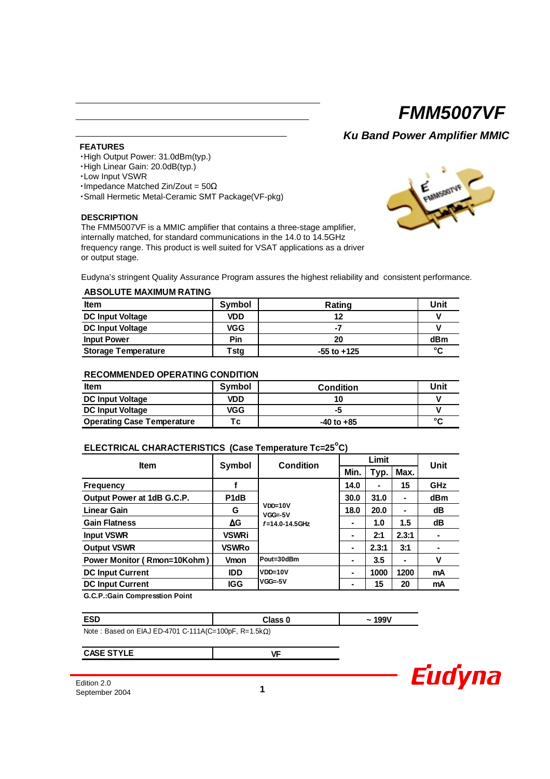*Ku Band Power Amplifier MMIC*

**FEATURES**

- ・High Output Power: 31.0dBm(typ.)
- ・High Linear Gain: 20.0dB(typ.)
- ・Low Input VSWR
- ・Impedance Matched Zin/Zout = 50Ω
- ・Small Hermetic Metal-Ceramic SMT Package(VF-pkg)

#### **DESCRIPTION**

The FMM5007VF is a MMIC amplifier that contains a three-stage amplifier, internally matched, for standard communications in the 14.0 to 14.5GHz frequency range. This product is well suited for VSAT applications as a driver or output stage.



Eudyna's stringent Quality Assurance Program assures the highest reliability and consistent performance.

#### **ABSOLUTE MAXIMUM RATING**

| <b>Item</b>                | Symbol     | Rating          | Unit         |
|----------------------------|------------|-----------------|--------------|
| <b>DC Input Voltage</b>    | VDD        | 12              |              |
| <b>DC Input Voltage</b>    | <b>VGG</b> | - 4             |              |
| <b>Input Power</b>         | Pin        | 20              | dBm          |
| <b>Storage Temperature</b> | Tstg       | $-55$ to $+125$ | $\mathbf{C}$ |

### **RECOMMENDED OPERATING CONDITION**

| ltem                              | Symbol | <b>Condition</b> | Unit   |
|-----------------------------------|--------|------------------|--------|
| <b>DC Input Voltage</b>           | VDD    |                  |        |
| <b>DC Input Voltage</b>           | VGG    |                  |        |
| <b>Operating Case Temperature</b> | Tc.    | $-40$ to $+85$   | $\sim$ |

## **ELECTRICAL CHARACTERISTICS (Case Temperature Tc=25<sup>o</sup> C)**

| <b>Item</b>                        |                   | <b>Condition</b>       | Limit          |       |       | Unit       |
|------------------------------------|-------------------|------------------------|----------------|-------|-------|------------|
|                                    | Symbol            |                        | Min.           | Typ.  | Max.  |            |
| <b>Frequency</b>                   |                   |                        | 14.0           |       | 15    | <b>GHz</b> |
| Output Power at 1dB G.C.P.         | P <sub>1</sub> dB |                        | 30.0           | 31.0  | ۰     | dBm        |
| <b>Linear Gain</b>                 | G                 | VDD=10V<br>$VGG = -5V$ | 18.0           | 20.0  | ۰     | dB         |
| <b>Gain Flatness</b>               | ΔG                | $f = 14.0 - 14.5$ GHz  |                | 1.0   | 1.5   | dB         |
| <b>Input VSWR</b>                  | <b>VSWRi</b>      |                        | ۰              | 2:1   | 2.3:1 | ۰          |
| <b>Output VSWR</b>                 | <b>VSWRo</b>      |                        | $\blacksquare$ | 2.3:1 | 3:1   |            |
| <b>Power Monitor (Rmon=10Kohm)</b> | <b>Vmon</b>       | Pout=30dBm             |                | 3.5   |       | v          |
| <b>DC Input Current</b>            | <b>IDD</b>        | VDD=10V                | ۰              | 1000  | 1200  | mA         |
| <b>DC Input Current</b>            | <b>IGG</b>        | $VGG = -5V$            | ۰              | 15    | 20    | mA         |
|                                    |                   |                        |                |       |       |            |

**G.C.P.:Gain Compresstion Point**

| <b>ESD</b>                                           | <b>Class 0</b> | 199V<br>~ |  |  |  |  |  |
|------------------------------------------------------|----------------|-----------|--|--|--|--|--|
| Note: Bosed on EIA LED 4701 C 444 A/C-400pE B-4 Eko) |                |           |  |  |  |  |  |

Note : Based on EIAJ ED-4701 C-111A(C=100pF, R=1.5kΩ)

**CASE STYLE**

**VF**

Edition 2.0 September 2004 **1**

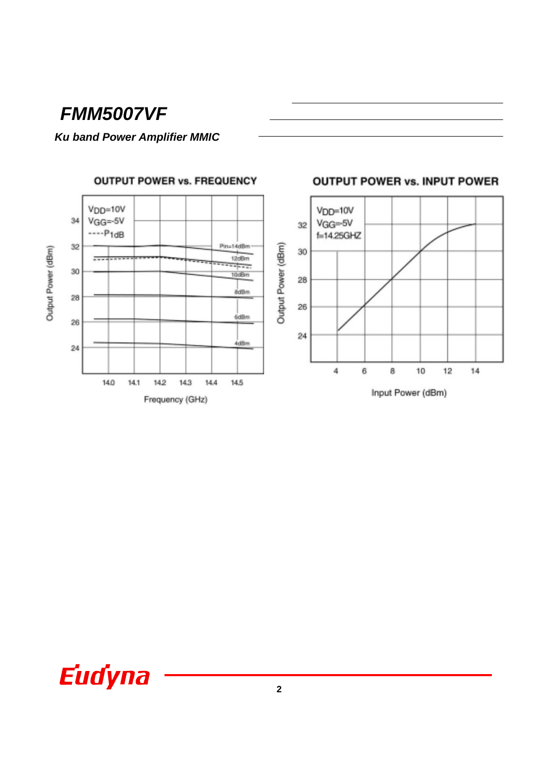# **Ku band Power Amplifier MMIC**

**OUTPUT POWER vs. FREQUENCY** 



## **OUTPUT POWER vs. INPUT POWER**

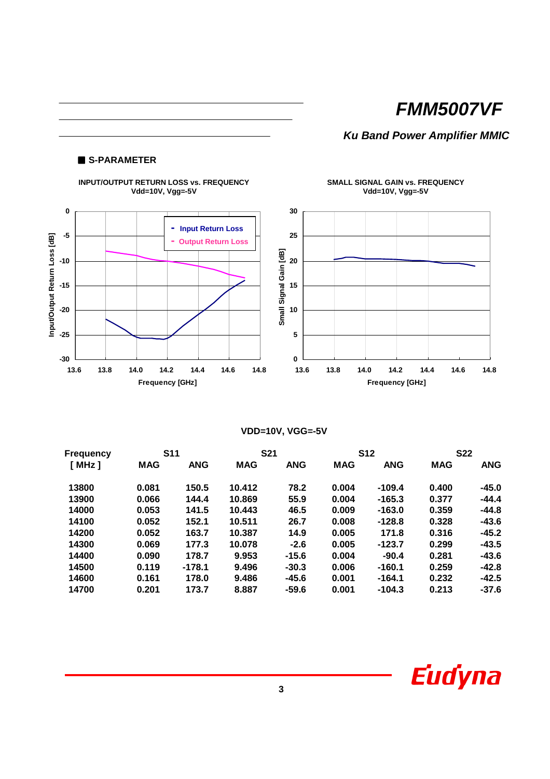# *Ku Band Power Amplifier MMIC*

## ■ **S-PARAMETER**



**VDD=10V, VGG=-5V**

| <b>Frequency</b> | <b>S11</b> |            | <b>S21</b> |            | <b>S12</b> |            | <b>S22</b> |            |
|------------------|------------|------------|------------|------------|------------|------------|------------|------------|
| [ MHz]           | <b>MAG</b> | <b>ANG</b> | <b>MAG</b> | <b>ANG</b> | <b>MAG</b> | <b>ANG</b> | <b>MAG</b> | <b>ANG</b> |
| 13800            | 0.081      | 150.5      | 10.412     | 78.2       | 0.004      | $-109.4$   | 0.400      | $-45.0$    |
| 13900            | 0.066      | 144.4      | 10.869     | 55.9       | 0.004      | $-165.3$   | 0.377      | $-44.4$    |
| 14000            | 0.053      | 141.5      | 10.443     | 46.5       | 0.009      | $-163.0$   | 0.359      | $-44.8$    |
| 14100            | 0.052      | 152.1      | 10.511     | 26.7       | 0.008      | $-128.8$   | 0.328      | $-43.6$    |
| 14200            | 0.052      | 163.7      | 10.387     | 14.9       | 0.005      | 171.8      | 0.316      | $-45.2$    |
| 14300            | 0.069      | 177.3      | 10.078     | $-2.6$     | 0.005      | $-123.7$   | 0.299      | $-43.5$    |
| 14400            | 0.090      | 178.7      | 9.953      | $-15.6$    | 0.004      | $-90.4$    | 0.281      | $-43.6$    |
| 14500            | 0.119      | $-178.1$   | 9.496      | $-30.3$    | 0.006      | $-160.1$   | 0.259      | $-42.8$    |
| 14600            | 0.161      | 178.0      | 9.486      | $-45.6$    | 0.001      | $-164.1$   | 0.232      | $-42.5$    |
| 14700            | 0.201      | 173.7      | 8.887      | $-59.6$    | 0.001      | $-104.3$   | 0.213      | $-37.6$    |

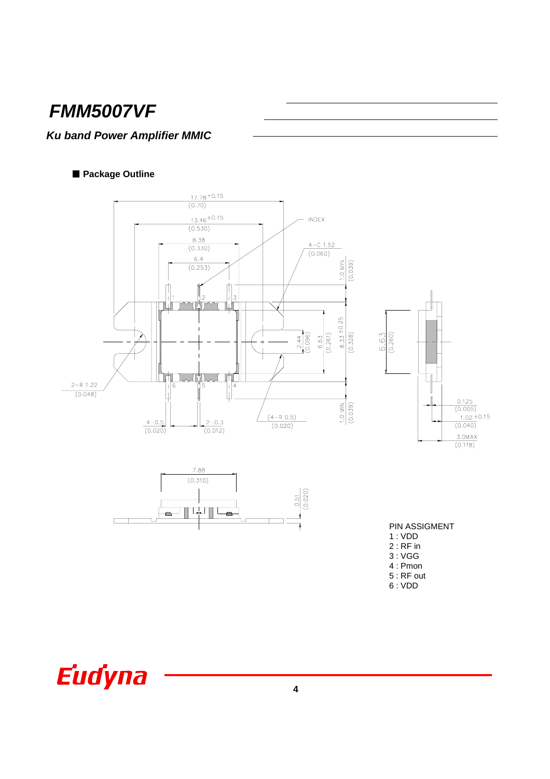# **Ku band Power Amplifier MMIC**

## Package Outline



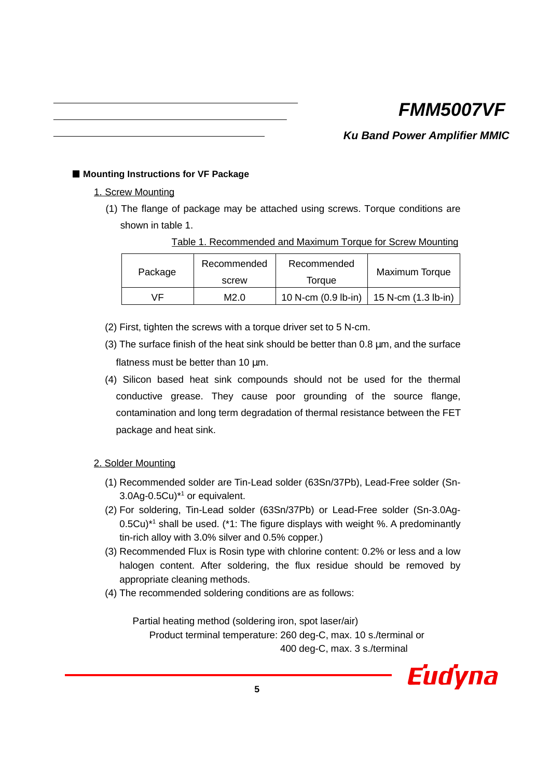*Ku Band Power Amplifier MMIC*

## ■ Mounting Instructions for VF Package

## 1. Screw Mounting

(1) The flange of package may be attached using screws. Torque conditions are shown in table 1.

| Table 1. Recommended and Maximum Torque for Screw Mounting |  |  |  |
|------------------------------------------------------------|--|--|--|
|                                                            |  |  |  |

| Package | Recommended | Recommended         | Maximum Torque          |  |
|---------|-------------|---------------------|-------------------------|--|
|         | screw       | Torque              |                         |  |
| ٧F      | M2.0        | 10 N-cm (0.9 lb-in) | $15$ N-cm $(1.3$ lb-in) |  |

- (2) First, tighten the screws with a torque driver set to 5 N-cm.
- (3) The surface finish of the heat sink should be better than  $0.8 \mu m$ , and the surface flatness must be better than 10  $\mu$ m.
- (4) Silicon based heat sink compounds should not be used for the thermal conductive grease. They cause poor grounding of the source flange, contamination and long term degradation of thermal resistance between the FET package and heat sink.

## 2. Solder Mounting

- (1) Recommended solder are Tin-Lead solder (63Sn/37Pb), Lead-Free solder (Sn-3.0Ag-0.5Cu)\*1 or equivalent.
- (2) For soldering, Tin-Lead solder (63Sn/37Pb) or Lead-Free solder (Sn-3.0Ag-0.5Cu)<sup>\*1</sup> shall be used. (\*1: The figure displays with weight %. A predominantly tin-rich alloy with 3.0% silver and 0.5% copper.)
- (3) Recommended Flux is Rosin type with chlorine content: 0.2% or less and a low halogen content. After soldering, the flux residue should be removed by appropriate cleaning methods.
- (4) The recommended soldering conditions are as follows:

Partial heating method (soldering iron, spot laser/air) Product terminal temperature: 260 deg-C, max. 10 s./terminal or 400 deg-C, max. 3 s./terminal

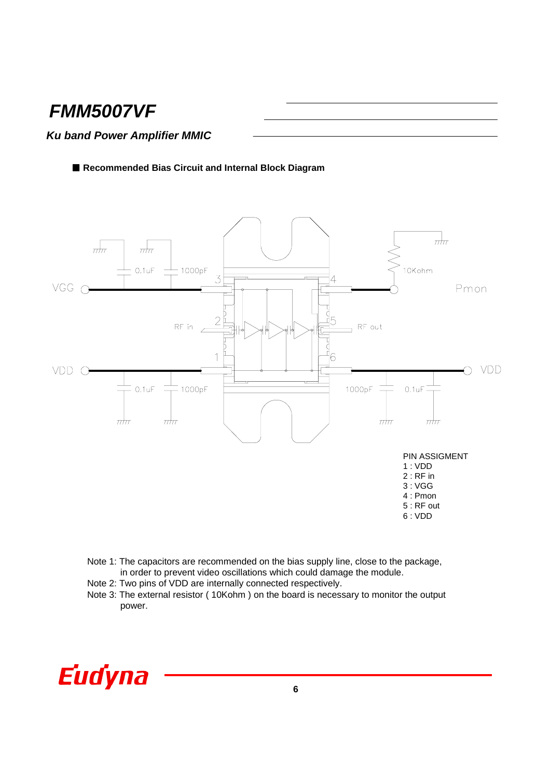# *Ku band Power Amplifier MMIC*

■ Recommended Bias Circuit and Internal Block Diagram



- Note 1: The capacitors are recommended on the bias supply line, close to the package, in order to prevent video oscillations which could damage the module.
- Note 2: Two pins of VDD are internally connected respectively.
- Note 3: The external resistor ( 10Kohm ) on the board is necessary to monitor the output power.